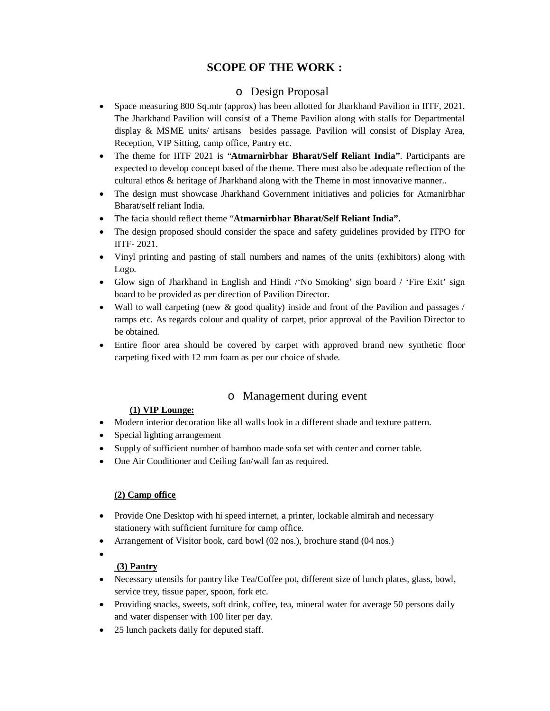# **SCOPE OF THE WORK :**

## o Design Proposal

- Space measuring 800 Sq.mtr (approx) has been allotted for Jharkhand Pavilion in IITF, 2021. The Jharkhand Pavilion will consist of a Theme Pavilion along with stalls for Departmental display & MSME units/ artisans besides passage. Pavilion will consist of Display Area, Reception, VIP Sitting, camp office, Pantry etc.
- The theme for IITF 2021 is "**Atmarnirbhar Bharat/Self Reliant India"**. Participants are expected to develop concept based of the theme. There must also be adequate reflection of the cultural ethos & heritage of Jharkhand along with the Theme in most innovative manner..
- The design must showcase Jharkhand Government initiatives and policies for Atmanirbhar Bharat/self reliant India.
- The facia should reflect theme "**Atmarnirbhar Bharat/Self Reliant India".**
- The design proposed should consider the space and safety guidelines provided by ITPO for IITF- 2021.
- Vinyl printing and pasting of stall numbers and names of the units (exhibitors) along with Logo.
- Glow sign of Jharkhand in English and Hindi /'No Smoking' sign board / 'Fire Exit' sign board to be provided as per direction of Pavilion Director.
- Wall to wall carpeting (new & good quality) inside and front of the Pavilion and passages / ramps etc. As regards colour and quality of carpet, prior approval of the Pavilion Director to be obtained.
- Entire floor area should be covered by carpet with approved brand new synthetic floor carpeting fixed with 12 mm foam as per our choice of shade.

## o Management during event

#### **(1) VIP Lounge:**

- Modern interior decoration like all walls look in a different shade and texture pattern.
- Special lighting arrangement
- Supply of sufficient number of bamboo made sofa set with center and corner table.
- One Air Conditioner and Ceiling fan/wall fan as required.

#### **(2) Camp office**

- Provide One Desktop with hi speed internet, a printer, lockable almirah and necessary stationery with sufficient furniture for camp office.
- Arrangement of Visitor book, card bowl (02 nos.), brochure stand (04 nos.)
- $\bullet$

## **(3) Pantry**

- Necessary utensils for pantry like Tea/Coffee pot, different size of lunch plates, glass, bowl, service trey, tissue paper, spoon, fork etc.
- Providing snacks, sweets, soft drink, coffee, tea, mineral water for average 50 persons daily and water dispenser with 100 liter per day.
- 25 lunch packets daily for deputed staff.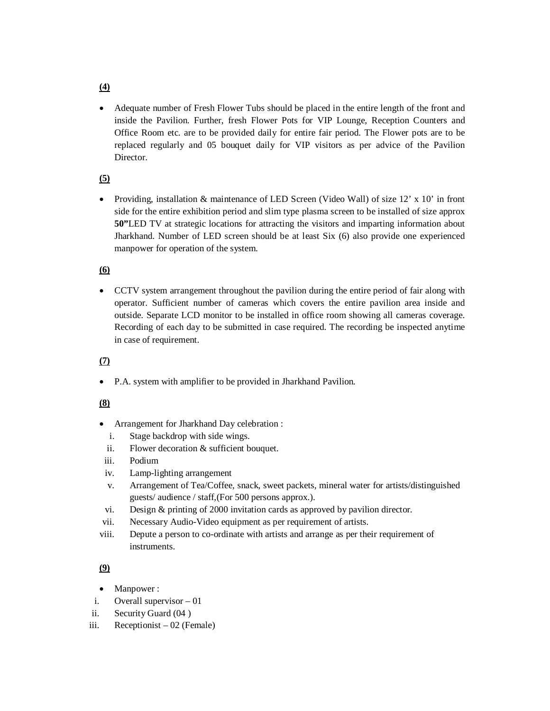Adequate number of Fresh Flower Tubs should be placed in the entire length of the front and inside the Pavilion. Further, fresh Flower Pots for VIP Lounge, Reception Counters and Office Room etc. are to be provided daily for entire fair period. The Flower pots are to be replaced regularly and 05 bouquet daily for VIP visitors as per advice of the Pavilion Director.

#### **(5)**

• Providing, installation & maintenance of LED Screen (Video Wall) of size  $12' \times 10'$  in front side for the entire exhibition period and slim type plasma screen to be installed of size approx **50"**LED TV at strategic locations for attracting the visitors and imparting information about Jharkhand. Number of LED screen should be at least Six (6) also provide one experienced manpower for operation of the system.

#### **(6)**

 CCTV system arrangement throughout the pavilion during the entire period of fair along with operator. Sufficient number of cameras which covers the entire pavilion area inside and outside. Separate LCD monitor to be installed in office room showing all cameras coverage. Recording of each day to be submitted in case required. The recording be inspected anytime in case of requirement.

## **(7)**

P.A. system with amplifier to be provided in Jharkhand Pavilion.

#### **(8)**

- Arrangement for Jharkhand Day celebration :
	- i. Stage backdrop with side wings.
	- ii. Flower decoration & sufficient bouquet.
- iii. Podium
- iv. Lamp-lighting arrangement
- v. Arrangement of Tea/Coffee, snack, sweet packets, mineral water for artists/distinguished guests/ audience / staff,(For 500 persons approx.).
- vi. Design & printing of 2000 invitation cards as approved by pavilion director.
- vii. Necessary Audio-Video equipment as per requirement of artists.
- viii. Depute a person to co-ordinate with artists and arrange as per their requirement of **instruments**

## **(9)**

- Manpower :
- i. Overall supervisor 01
- ii. Security Guard (04 )
- iii. Receptionist 02 (Female)

## **(4)**